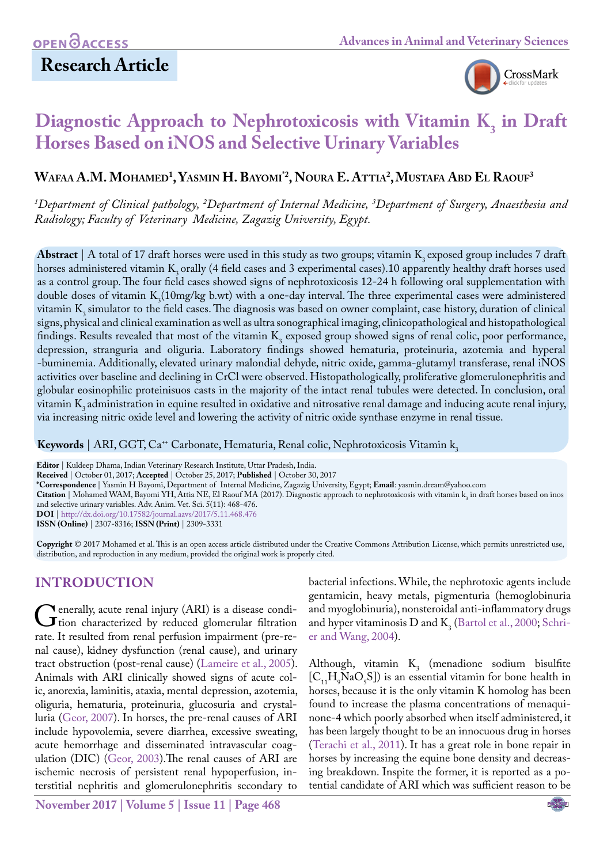## **Research Article**



# **Diagnostic Approach to Nephrotoxicosis with Vitamin K<sub>3</sub> in Draft Horses Based on iNOS and Selective Urinary Variables**

## **Wafaa A.M. Mohamed1 , Yasmin H. Bayomi \*2, Noura E. Attia2 ,Mustafa Abd El Raouf3**

*1 Department of Clinical pathology, 2 Department of Internal Medicine, 3 Department of Surgery, Anaesthesia and Radiology; Faculty of Veterinary Medicine, Zagazig University, Egypt.*

**Abstract** | A total of 17 draft horses were used in this study as two groups; vitamin K<sub>2</sub> exposed group includes 7 draft horses administered vitamin  $K<sub>3</sub>$  orally (4 field cases and 3 experimental cases).10 apparently healthy draft horses used as a control group. The four field cases showed signs of nephrotoxicosis 12-24 h following oral supplementation with double doses of vitamin  $K_3(10mg/kg$  b.wt) with a one-day interval. The three experimental cases were administered vitamin K<sub>2</sub> simulator to the field cases. The diagnosis was based on owner complaint, case history, duration of clinical signs, physical and clinical examination as well as ultra sonographical imaging, clinicopathological and histopathological findings. Results revealed that most of the vitamin K<sub>3</sub> exposed group showed signs of renal colic, poor performance, depression, stranguria and oliguria. Laboratory findings showed hematuria, proteinuria, azotemia and hyperal -buminemia. Additionally, elevated urinary malondial dehyde, nitric oxide, gamma-glutamyl transferase, renal iNOS activities over baseline and declining in CrCl were observed. Histopathologically, proliferative glomerulonephritis and globular eosinophilic proteinisuos casts in the majority of the intact renal tubules were detected. In conclusion, oral vitamin K<sub>3</sub> administration in equine resulted in oxidative and nitrosative renal damage and inducing acute renal injury, via increasing nitric oxide level and lowering the activity of nitric oxide synthase enzyme in renal tissue.

Keywords | ARI, GGT, Ca<sup>++</sup> Carbonate, Hematuria, Renal colic, Nephrotoxicosis Vitamin k<sub>2</sub>

**Editor** | Kuldeep Dhama, Indian Veterinary Research Institute, Uttar Pradesh, India.

**Received** | October 01, 2017; **Accepted** | October 25, 2017; **Published** | October 30, 2017

**\*Correspondence** | Yasmin H Bayomi, Department of Internal Medicine, Zagazig University, Egypt; **Email**: yasmin.dream@yahoo.com

**Citation** | Mohamed WAM, Bayomi YH, Attia NE, El Raouf MA (2017). Diagnostic approach to nephrotoxicosis with vitamin k<sub>3</sub> in draft horses based on inos and selective urinary variables. Adv. Anim. Vet. Sci. 5(11): 468-476.

**DOI** | <http://dx.doi.org/10.17582/journal.aavs/2017/5.11.468.476>

**ISSN (Online)** | 2307-8316; **ISSN (Print)** | 2309-3331

**Copyright** © 2017 Mohamed et al. This is an open access article distributed under the Creative Commons Attribution License, which permits unrestricted use, distribution, and reproduction in any medium, provided the original work is properly cited.

## **Introduction**

Generally, acute renal injury (ARI) is a disease condi-<br>tion characterized by reduced glomerular filtration<br>rate. It resulted from renal perfusion impairment (pre-rerate. It resulted from renal perfusion impairment (pre-renal cause), kidney dysfunction (renal cause), and urinary tract obstruction (post-renal cause) [\(Lameire et al., 2005\)](#page-7-0). Animals with ARI clinically showed signs of acute colic, anorexia, laminitis, ataxia, mental depression, azotemia, oliguria, hematuria, proteinuria, glucosuria and crystalluria (Geor, 2007). In horses, the pre-renal causes of ARI include hypovolemia, severe diarrhea, excessive sweating, acute hemorrhage and disseminated intravascular coagulation (DIC) (Geor, 2003).The renal causes of ARI are ischemic necrosis of persistent renal hypoperfusion, interstitial nephritis and glomerulonephritis secondary to

**November 2017 | Volume 5 | Issue 11 | Page 468**

bacterial infections. While, the nephrotoxic agents include gentamicin, heavy metals, pigmenturia (hemoglobinuria and myoglobinuria), nonsteroidal anti-inflammatory drugs and hyper vitaminosis  $D$  and  $K_3$  (Bartol et al., 2000; Schrier and Wang, 2004).

Although, vitamin  $K_3$  (menadione sodium bisulfite  $[C_{11}H_9NaO_5S]$ ) is an essential vitamin for bone health in horses, because it is the only vitamin K homolog has been found to increase the plasma concentrations of menaquinone-4 which poorly absorbed when itself administered, it has been largely thought to be an innocuous drug in horses ([Terachi et al., 2011\)](#page-8-0). It has a great role in bone repair in horses by increasing the equine bone density and decreasing breakdown. Inspite the former, it is reported as a potential candidate of ARI which was sufficient reason to be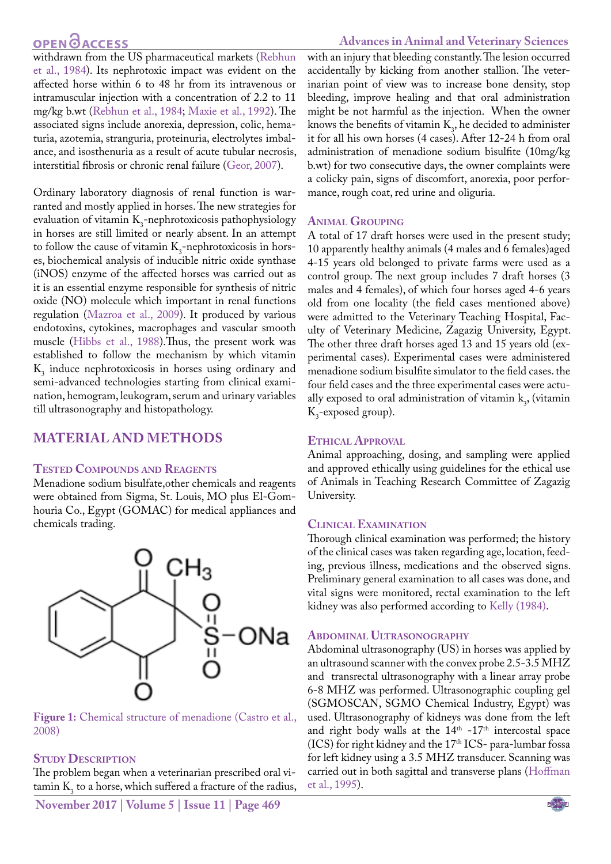#### **Advances in Animal and Veterinary Sciences**

withdrawn from the US pharmaceutical markets (Rebhun et al., 1984). Its nephrotoxic impact was evident on the affected horse within 6 to 48 hr from its intravenous or intramuscular injection with a concentration of 2.2 to 11 mg/kg b.wt (Rebhun et al., 1984; [Maxie et al., 1992](#page-7-1)). The associated signs include anorexia, depression, colic, hematuria, azotemia, stranguria, proteinuria, electrolytes imbalance, and isosthenuria as a result of acute tubular necrosis, interstitial fibrosis or chronic renal failure (Geor, 2007).

Ordinary laboratory diagnosis of renal function is warranted and mostly applied in horses. The new strategies for evaluation of vitamin  $K_3$ -nephrotoxicosis pathophysiology in horses are still limited or nearly absent. In an attempt to follow the cause of vitamin  $K_3$ -nephrotoxicosis in horses, biochemical analysis of inducible nitric oxide synthase (iNOS) enzyme of the affected horses was carried out as it is an essential enzyme responsible for synthesis of nitric oxide (NO) molecule which important in renal functions regulation ([Mazroa et al., 2009\)](#page-7-2). It produced by various endotoxins, cytokines, macrophages and vascular smooth muscle (Hibbs et al., 1988).Thus, the present work was established to follow the mechanism by which vitamin  $K<sub>3</sub>$  induce nephrotoxicosis in horses using ordinary and semi-advanced technologies starting from clinical examination, hemogram, leukogram, serum and urinary variables till ultrasonography and histopathology.

#### **Material and methodS**

#### **Tested Compounds and Reagents**

Menadione sodium bisulfate,other chemicals and reagents were obtained from Sigma, St. Louis, MO plus El-Gomhouria Co., Egypt (GOMAC) for medical appliances and chemicals trading.



**Figure 1:** Chemical structure of menadione (Castro et al., 2008)

#### **Study Description**

The problem began when a veterinarian prescribed oral vi- $\frac{1}{2}$  to a horse, which suffered a fracture of the radius,

**November 2017 | Volume 5 | Issue 11 | Page 469**

with an injury that bleeding constantly. The lesion occurred accidentally by kicking from another stallion. The veterinarian point of view was to increase bone density, stop bleeding, improve healing and that oral administration might be not harmful as the injection. When the owner knows the benefits of vitamin  $K_3$ , he decided to administer it for all his own horses (4 cases). After 12-24 h from oral administration of menadione sodium bisulfite (10mg/kg b.wt) for two consecutive days, the owner complaints were a colicky pain, signs of discomfort, anorexia, poor performance, rough coat, red urine and oliguria.

#### **Animal Grouping**

A total of 17 draft horses were used in the present study; 10 apparently healthy animals (4 males and 6 females)aged 4-15 years old belonged to private farms were used as a control group. The next group includes 7 draft horses (3 males and 4 females), of which four horses aged 4-6 years old from one locality (the field cases mentioned above) were admitted to the Veterinary Teaching Hospital, Faculty of Veterinary Medicine, Zagazig University, Egypt. The other three draft horses aged 13 and 15 years old (experimental cases). Experimental cases were administered menadione sodium bisulfite simulator to the field cases. the four field cases and the three experimental cases were actually exposed to oral administration of vitamin  $k_3$ , (vitamin  $K_3$ -exposed group).

#### **Ethical Approval**

Animal approaching, dosing, and sampling were applied and approved ethically using guidelines for the ethical use of Animals in Teaching Research Committee of Zagazig University.

#### **Clinical Examination**

Thorough clinical examination was performed; the history of the clinical cases was taken regarding age, location, feeding, previous illness, medications and the observed signs. Preliminary general examination to all cases was done, and vital signs were monitored, rectal examination to the left kidney was also performed according to [Kelly \(1984\)](#page-7-3).

#### **Abdominal Ultrasonography**

Abdominal ultrasonography (US) in horses was applied by an ultrasound scanner with the convex probe 2.5-3.5 MHZ and transrectal ultrasonography with a linear array probe 6-8 MHZ was performed. Ultrasonographic coupling gel (SGMOSCAN, SGMO Chemical Industry, Egypt) was used. Ultrasonography of kidneys was done from the left and right body walls at the  $14<sup>th</sup>$  -17<sup>th</sup> intercostal space (ICS) for right kidney and the  $17<sup>th</sup>$  ICS- para-lumbar fossa for left kidney using a 3.5 MHZ transducer. Scanning was carried out in both sagittal and transverse plans ([Hoffman](#page-7-4)  [et al., 1995\)](#page-7-4).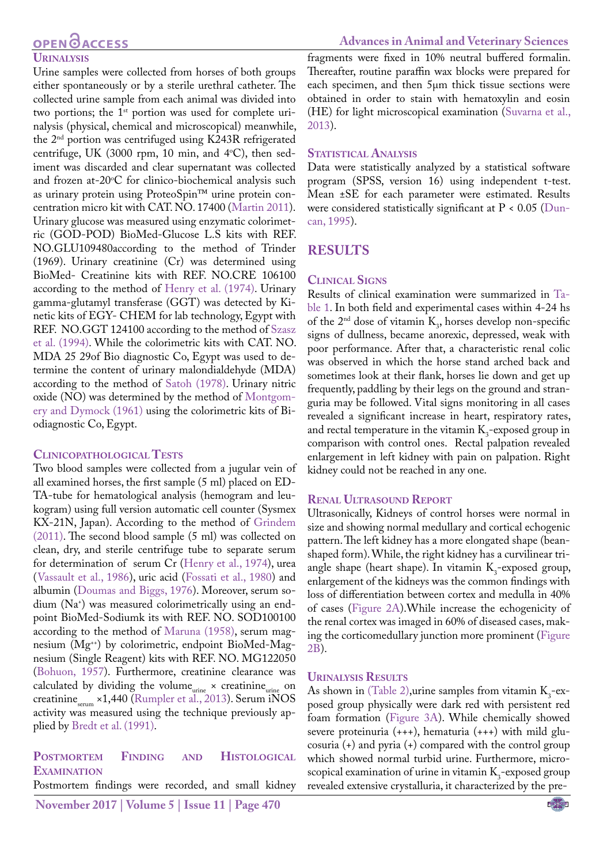## **OPEN**<sub>d</sub>

#### **Urinalysis**

Urine samples were collected from horses of both groups either spontaneously or by a sterile urethral catheter. The collected urine sample from each animal was divided into two portions; the  $1<sup>st</sup>$  portion was used for complete urinalysis (physical, chemical and microscopical) meanwhile, the 2nd portion was centrifuged using K243R refrigerated centrifuge, UK (3000 rpm, 10 min, and 4°C), then sediment was discarded and clear supernatant was collected and frozen at-20°C for clinico-biochemical analysis such as urinary protein using ProteoSpin™ urine protein concentration micro kit with CAT. NO. 17400 ([Martin 2011\)](#page-7-5). Urinary glucose was measured using enzymatic colorimetric (GOD-POD) BioMed-Glucose L.S kits with REF. NO.GLU109480according to the method of Trinder (1969). Urinary creatinine (Cr) was determined using BioMed- Creatinine kits with REF. NO.CRE 106100 according to the method of [Henry et al. \(1974\).](#page-7-6) Urinary gamma-glutamyl transferase (GGT) was detected by Kinetic kits of EGY- CHEM for lab technology, Egypt with REF. NO.GGT 124100 according to the method of [Szasz](#page-8-1) [et al. \(1994\).](#page-8-1) While the colorimetric kits with CAT. NO. MDA 25 29of Bio diagnostic Co, Egypt was used to determine the content of urinary malondialdehyde (MDA) according to the method of Satoh (1978). Urinary nitric oxide (NO) was determined by the method of [Montgom](#page-7-7)[ery and Dymock \(1961\)](#page-7-7) using the colorimetric kits of Biodiagnostic Co, Egypt.

#### **Clinicopathological Tests**

Two blood samples were collected from a jugular vein of all examined horses, the first sample (5 ml) placed on ED-TA-tube for hematological analysis (hemogram and leukogram) using full version automatic cell counter (Sysmex KX-21N, Japan). According to the method of Grindem (2011). The second blood sample (5 ml) was collected on clean, dry, and sterile centrifuge tube to separate serum for determination of serum Cr [\(Henry et al., 1974\)](#page-7-6), urea ([Vassault et al., 1986\)](#page-8-2), uric acid ([Fossati et al., 1980\)](#page-7-8) and albumin [\(Doumas and Biggs, 1976\)](#page-7-9). Moreover, serum sodium (Na+ ) was measured colorimetrically using an endpoint BioMed-Sodiumk its with REF. NO. SOD100100 according to the method of [Maruna \(1958\)](#page-7-10), serum magnesium (Mg<sup>++</sup>) by colorimetric, endpoint BioMed-Magnesium (Single Reagent) kits with REF. NO. MG122050 ([Bohuon, 1957](#page-7-11)). Furthermore, creatinine clearance was calculated by dividing the volume<sub>urine</sub>  $\times$  creatinine<sub>urine</sub> on creatinine $\epsilon_{\text{serum}}$  ×1,440 ([Rumpler et al., 2013](#page-7-12)). Serum iNOS activity was measured using the technique previously applied by [Bredt et al. \(1991\)](#page-7-13).

### **Postmortem Finding and Histological Examination**

Postmortem findings were recorded, and small kidney

fragments were fixed in 10% neutral buffered formalin. Thereafter, routine paraffin wax blocks were prepared for each specimen, and then 5µm thick tissue sections were obtained in order to stain with hematoxylin and eosin (HE) for light microscopical examination (Suvarna et al., 2013).

#### **STATISTICAL ANALYSIS**

Data were statistically analyzed by a statistical software program (SPSS, version 16) using independent t-test. Mean ±SE for each parameter were estimated. Results were considered statistically significant at  $P < 0.05$  [\(Dun](#page-7-14)[can, 1995\)](#page-7-14).

### **Results**

#### **Clinical Signs**

Results of clinical examination were summarized in [Ta](#page-3-0)[ble 1](#page-3-0). In both field and experimental cases within 4-24 hs of the  $2<sup>nd</sup>$  dose of vitamin  $K_3$ , horses develop non-specific signs of dullness, became anorexic, depressed, weak with poor performance. After that, a characteristic renal colic was observed in which the horse stand arched back and sometimes look at their flank, horses lie down and get up frequently, paddling by their legs on the ground and stranguria may be followed. Vital signs monitoring in all cases revealed a significant increase in heart, respiratory rates, and rectal temperature in the vitamin  $K_3$ -exposed group in comparison with control ones. Rectal palpation revealed enlargement in left kidney with pain on palpation. Right kidney could not be reached in any one.

#### **Renal Ultrasound Report**

Ultrasonically, Kidneys of control horses were normal in size and showing normal medullary and cortical echogenic pattern. The left kidney has a more elongated shape (beanshaped form). While, the right kidney has a curvilinear triangle shape (heart shape). In vitamin  $K_3$ -exposed group, enlargement of the kidneys was the common findings with loss of differentiation between cortex and medulla in 40% of cases ([Figure 2A\)](#page-3-1).While increase the echogenicity of the renal cortex was imaged in 60% of diseased cases, making the corticomedullary junction more prominent ([Figure](#page-3-1)  [2B](#page-3-1)).

#### **Urinalysis Results**

As shown i[n \(Table 2\),](#page-3-2) urine samples from vitamin  $K_3$ -exposed group physically were dark red with persistent red foam formation ([Figure 3A](#page-3-3)). While chemically showed severe proteinuria (+++), hematuria (+++) with mild glucosuria (+) and pyria (+) compared with the control group which showed normal turbid urine. Furthermore, microscopical examination of urine in vitamin  $K_3$ -exposed group revealed extensive crystalluria, it characterized by the pre-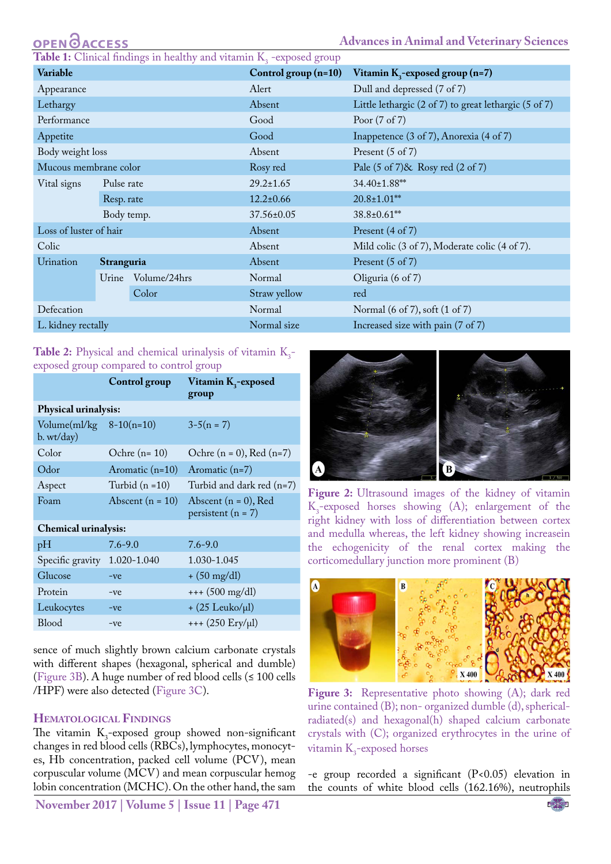**Advances in Animal and Veterinary Sciences**

<span id="page-3-0"></span>**Table 1:** Clinical findings in healthy and vitamin  $K_3$  -exposed group

| Variable               |            |              | Control group $(n=10)$ | Vitamin K <sub>3</sub> -exposed group (n=7)             |
|------------------------|------------|--------------|------------------------|---------------------------------------------------------|
| Appearance             |            |              | Alert                  | Dull and depressed (7 of 7)                             |
| Lethargy               |            |              | Absent                 | Little lethargic (2 of 7) to great lethargic (5 of 7)   |
| Performance            |            |              | Good                   | Poor $(7 \text{ of } 7)$                                |
| Appetite               |            |              | Good                   | Inappetence (3 of 7), Anorexia (4 of 7)                 |
| Body weight loss       |            |              | Absent                 | Present $(5 \text{ of } 7)$                             |
| Mucous membrane color  |            |              | Rosy red               | Pale $(5 \text{ of } 7)$ & Rosy red $(2 \text{ of } 7)$ |
| Vital signs            | Pulse rate |              | $29.2 \pm 1.65$        | 34.40±1.88**                                            |
|                        | Resp. rate |              | $12.2 \pm 0.66$        | $20.8 \pm 1.01$ **                                      |
|                        | Body temp. |              | 37.56±0.05             | 38.8±0.61**                                             |
| Loss of luster of hair |            |              | Absent                 | Present (4 of 7)                                        |
| Colic                  |            |              | Absent                 | Mild colic (3 of 7), Moderate colic (4 of 7).           |
| Urination              | Stranguria |              | Absent                 | Present $(5 \text{ of } 7)$                             |
|                        | Urine      | Volume/24hrs | Normal                 | Oliguria $(6 \text{ of } 7)$                            |
|                        |            | Color        | Straw yellow           | red                                                     |
| Defecation             |            |              | Normal                 | Normal (6 of 7), soft (1 of 7)                          |
| L. kidney rectally     |            |              | Normal size            | Increased size with pain (7 of 7)                       |
|                        |            |              |                        |                                                         |

#### <span id="page-3-2"></span>**Table 2:** Physical and chemical urinalysis of vitamin  $K_3$ exposed group compared to control group

|                                            | Control group      | Vitamin K <sub>3</sub> -exposed<br>group          |  |  |  |  |
|--------------------------------------------|--------------------|---------------------------------------------------|--|--|--|--|
| Physical urinalysis:                       |                    |                                                   |  |  |  |  |
| Volume $(ml/kg \ 8-10(n=10)$<br>b. wt/day) |                    | $3-5(n = 7)$                                      |  |  |  |  |
| Color                                      | Ochre $(n=10)$     | Ochre $(n = 0)$ , Red $(n=7)$                     |  |  |  |  |
| Odor                                       | Aromatic $(n=10)$  | Aromatic $(n=7)$                                  |  |  |  |  |
| Aspect                                     | Turbid $(n=10)$    | Turbid and dark red (n=7)                         |  |  |  |  |
| Foam                                       | Abscent $(n = 10)$ | Abscent $(n = 0)$ , Red<br>persistent ( $n = 7$ ) |  |  |  |  |
| <b>Chemical urinalysis:</b>                |                    |                                                   |  |  |  |  |
| pH                                         | $7.6 - 9.0$        | $7.6 - 9.0$                                       |  |  |  |  |
| Specific gravity 1.020-1.040               |                    | 1.030-1.045                                       |  |  |  |  |
| Glucose                                    | $-ve$              | $+ (50 \text{ mg/dl})$                            |  |  |  |  |
| Protein                                    | $-ve$              | $++ (500 mg/dl)$                                  |  |  |  |  |
| Leukocytes                                 | $-ve$              | $+$ (25 Leuko/µl)                                 |  |  |  |  |
| <b>Blood</b>                               | $-ve$              | $++(250 Ery/µl)$                                  |  |  |  |  |
|                                            |                    |                                                   |  |  |  |  |

sence of much slightly brown calcium carbonate crystals with different shapes (hexagonal, spherical and dumble) [\(Figure 3B\)](#page-3-3). A huge number of red blood cells (≤ 100 cells /HPF) were also detected [\(Figure 3C\)](#page-3-3).

#### **Hematological Findings**

The vitamin  $K_3$ -exposed group showed non-significant changes in red blood cells (RBCs), lymphocytes, monocytes, Hb concentration, packed cell volume (PCV), mean corpuscular volume (MCV) and mean corpuscular hemog lobin concentration (MCHC). On the other hand, the sam

**November 2017 | Volume 5 | Issue 11 | Page 471**



<span id="page-3-1"></span>Figure 2: Ultrasound images of the kidney of vitamin  $K_3$ -exposed horses showing (A); enlargement of the right kidney with loss of differentiation between cortex and medulla whereas, the left kidney showing increasein the echogenicity of the renal cortex making the corticomedullary junction more prominent (B)



Figure 3: Representative photo showing (A); dark red urine contained (B); non- organized dumble (d), sphericalradiated(s) and hexagonal(h) shaped calcium carbonate crystals with (C); organized erythrocytes in the urine of vitamin  $K_3$ -exposed horses

<span id="page-3-3"></span>-e group recorded a significant (P<0.05) elevation in the counts of white blood cells (162.16%), neutrophils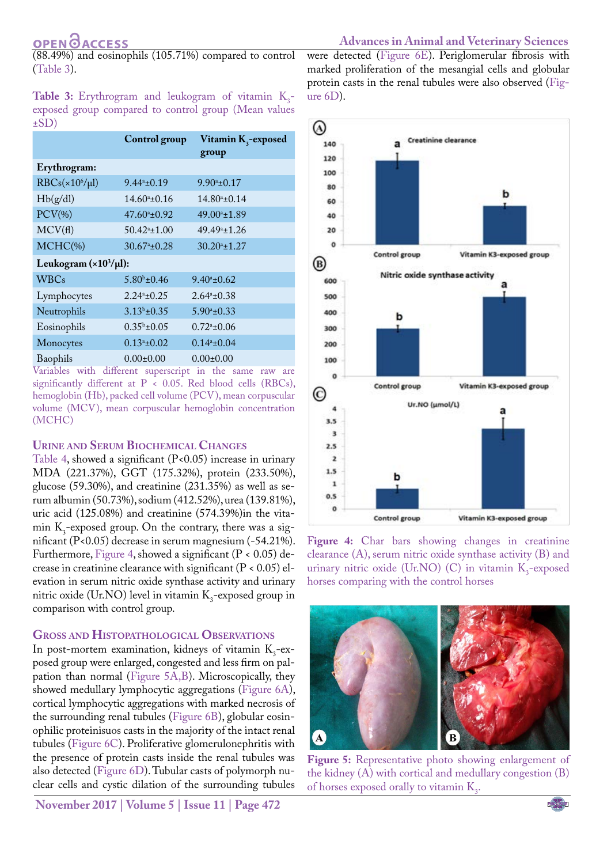## **OPENOACCESS**

(88.49%) and eosinophils (105.71%) compared to control ([Table 3](#page-4-0)).

<span id="page-4-0"></span>**Table 3:** Erythrogram and leukogram of vitamin  $K_3$ exposed group compared to control group (Mean values  $\pm$ SD)

|                                              | Control group              | Vitamin K <sub>3</sub> -exposed |  |  |
|----------------------------------------------|----------------------------|---------------------------------|--|--|
|                                              |                            | group                           |  |  |
| Erythrogram:                                 |                            |                                 |  |  |
| $RBCs(x106/\mu l)$                           | $9.44^a \pm 0.19$          | $9.90^a \pm 0.17$               |  |  |
| Hb(g/dl)                                     | $14.60^{\circ}$ ±0.16      | $14.80^{\circ}$ ±0.14           |  |  |
| $PCV$ (%)                                    | $47.60^{\circ}$ ±0.92      | $49.00^{\circ}$ ±1.89           |  |  |
| MCV(f)                                       | $50.42^{\circ}$ ±1.00      | 49.49 <sup>a</sup> ±1.26        |  |  |
| $MCHC$ (%)                                   | $30.67^{\circ}$ ±0.28      | $30.20^{\circ}$ ±1.27           |  |  |
| Leukogram $(\times 10^3/\mu l)$ :            |                            |                                 |  |  |
| <b>WBCs</b>                                  | $5.80b \pm 0.46$           | $9.40^a \pm 0.62$               |  |  |
| Lymphocytes                                  | $2.24^{\mathrm{a}}\pm0.25$ | $2.64^{\circ}$ ±0.38            |  |  |
| Neutrophils                                  | $3.13b \pm 0.35$           | $5.90^a \pm 0.33$               |  |  |
| Eosinophils                                  | $0.35^b \pm 0.05$          | $0.72^{\circ}$ ±0.06            |  |  |
| Monocytes                                    | $0.13^{\circ}$ ±0.02       | $0.14^a \pm 0.04$               |  |  |
| Baophils<br>TT.<br>$+11$<br>$1 \cdot \sigma$ | $0.00 \pm 0.00$            | $0.00 \pm 0.00$                 |  |  |

Variables with different superscript in the same raw are significantly different at  $P < 0.05$ . Red blood cells (RBCs), hemoglobin (Hb), packed cell volume (PCV), mean corpuscular volume (MCV), mean corpuscular hemoglobin concentration (MCHC)

#### **Urine and Serum Biochemical Changes**

[Table 4,](#page-5-0) showed a significant  $(P<0.05)$  increase in urinary MDA (221.37%), GGT (175.32%), protein (233.50%), glucose (59.30%), and creatinine (231.35%) as well as serum albumin (50.73%), sodium (412.52%), urea (139.81%), uric acid (125.08%) and creatinine (574.39%)in the vitamin  $K_3$ -exposed group. On the contrary, there was a significant (P<0.05) decrease in serum magnesium (-54.21%). Furthermore, [Figure 4,](#page-4-1) showed a significant ( $P < 0.05$ ) decrease in creatinine clearance with significant  $(P < 0.05)$  elevation in serum nitric oxide synthase activity and urinary nitric oxide (Ur.NO) level in vitamin  $K_3$ -exposed group in comparison with control group.

#### **Gross and Histopathological Observations**

In post-mortem examination, kidneys of vitamin  $K_3$ -exposed group were enlarged, congested and less firm on palpation than normal [\(Figure 5A,B\)](#page-4-2). Microscopically, they showed medullary lymphocytic aggregations ([Figure 6A\)](#page-5-1), cortical lymphocytic aggregations with marked necrosis of the surrounding renal tubules ([Figure 6B\)](#page-5-1), globular eosinophilic proteinisuos casts in the majority of the intact renal tubules ([Figure 6C](#page-5-1)). Proliferative glomerulonephritis with the presence of protein casts inside the renal tubules was also detected ([Figure 6D](#page-5-1)). Tubular casts of polymorph nuclear cells and cystic dilation of the surrounding tubules

**November 2017 | Volume 5 | Issue 11 | Page 472**

were detected ([Figure 6E\)](#page-5-1). Periglomerular fibrosis with marked proliferation of the mesangial cells and globular protein casts in the renal tubules were also observed ([Fig](#page-5-1)[ure 6D\)](#page-5-1).



<span id="page-4-1"></span>Figure 4: Char bars showing changes in creatinine clearance (A), serum nitric oxide synthase activity (B) and urinary nitric oxide (Ur.NO) (C) in vitamin  $K_3$ -exposed horses comparing with the control horses



<span id="page-4-2"></span>**Figure 5:** Representative photo showing enlargement of the kidney (A) with cortical and medullary congestion (B) of horses exposed orally to vitamin  $K_3$ .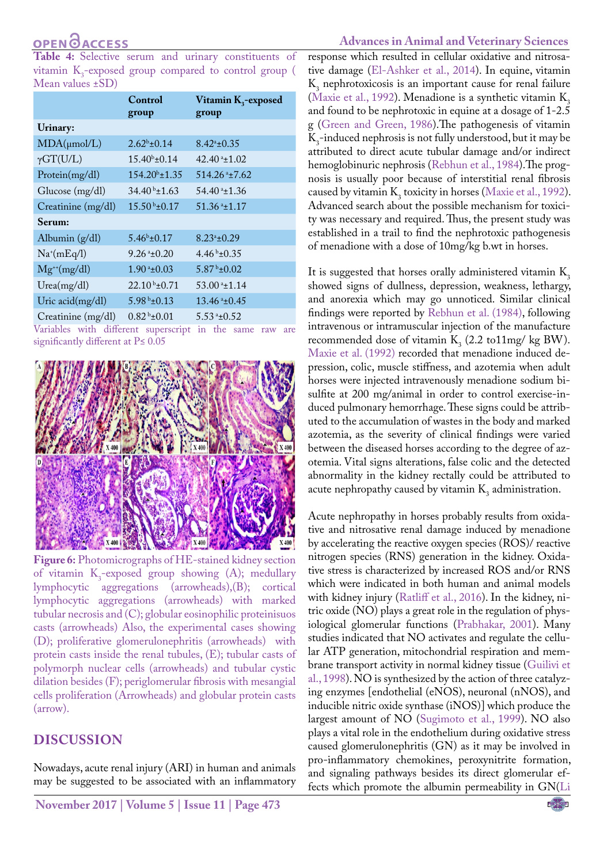<span id="page-5-0"></span>**Table 4:** Selective serum and urinary constituents of vitamin  $K_3$ -exposed group compared to control group ( Mean values ±SD)

|                    | Control<br>group               | Vitamin K <sub>3</sub> -exposed<br>group |
|--------------------|--------------------------------|------------------------------------------|
| Urinary:           |                                |                                          |
| $MDA(\mu mol/L)$   | $2.62^b \pm 0.14$              | $8.42^{\circ}$ ±0.35                     |
| $\gamma GT(U/L)$   | $15.40^{b} \pm 0.14$           | $42.40^{\mathrm{a}}$ ±1.02               |
| Protein(mg/dl)     | $154.20^{\circ}$ ±1.35         | $514.26$ <sup>a</sup> $±7.62$            |
| Glucose (mg/dl)    | $34.40b \pm 1.63$              | $54.40*1.36$                             |
| Creatinine (mg/dl) | $15.50b \pm 0.17$              | $51.36$ <sup>a</sup> $\pm$ 1.17          |
| Serum:             |                                |                                          |
| Albumin $(g/dl)$   | $5.46^b \pm 0.17$              | $8.23^{\circ}$ ±0.29                     |
| $Na^{(mEq/l)}$     | $9.26$ <sup>a</sup> $\pm$ 0.20 | $4.46b + 0.35$                           |
| $Mg^{+}(mg/dl)$    | $1.90*+0.03$                   | $5.87b \pm 0.02$                         |
| Urea(mg/dl)        | $22.10b \pm 0.71$              | $53.00*1.14$                             |
| Uric acid(mg/dl)   | $5.98\pm0.13$                  | $13.46*+0.45$                            |
| Creatinine (mg/dl) | $0.82b \pm 0.01$               | $5.53*10.52$                             |

Variables with different superscript in the same raw are significantly different at P≤ 0.05



<span id="page-5-1"></span>**Figure 6:** Photomicrographs of HE-stained kidney section of vitamin  $K_3$ -exposed group showing  $(A)$ ; medullary lymphocytic aggregations (arrowheads),(B); cortical lymphocytic aggregations (arrowheads) with marked tubular necrosis and (C); globular eosinophilic proteinisuos casts (arrowheads) Also, the experimental cases showing (D); proliferative glomerulonephritis (arrowheads) with protein casts inside the renal tubules, (E); tubular casts of polymorph nuclear cells (arrowheads) and tubular cystic dilation besides (F); periglomerular fibrosis with mesangial cells proliferation (Arrowheads) and globular protein casts (arrow).

## **Discussion**

Nowadays, acute renal injury (ARI) in human and animals may be suggested to be associated with an inflammatory

#### **Advances in Animal and Veterinary Sciences**

response which resulted in cellular oxidative and nitrosative damage ([El-Ashker et al., 2014](#page-7-15)). In equine, vitamin  $K_3$  nephrotoxicosis is an important cause for renal failure ([Maxie et al., 1992](#page-7-1)). Menadione is a synthetic vitamin  $K<sub>3</sub>$ and found to be nephrotoxic in equine at a dosage of 1-2.5 g [\(Green and Green, 1986\)](#page-7-16).The pathogenesis of vitamin  $K_3$ -induced nephrosis is not fully understood, but it may be attributed to direct acute tubular damage and/or indirect hemoglobinuric nephrosis (Rebhun et al., 1984).The prognosis is usually poor because of interstitial renal fibrosis caused by vitamin  $K_3$  toxicity in horses ([Maxie et al., 1992](#page-7-1)). Advanced search about the possible mechanism for toxicity was necessary and required. Thus, the present study was established in a trail to find the nephrotoxic pathogenesis of menadione with a dose of 10mg/kg b.wt in horses.

It is suggested that horses orally administered vitamin  $K<sub>3</sub>$ showed signs of dullness, depression, weakness, lethargy, and anorexia which may go unnoticed. Similar clinical findings were reported by Rebhun et al. (1984), following intravenous or intramuscular injection of the manufacture recommended dose of vitamin  $K_3$  (2.2 to11mg/ kg BW). [Maxie et al. \(1992\)](#page-7-1) recorded that menadione induced depression, colic, muscle stiffness, and azotemia when adult horses were injected intravenously menadione sodium bisulfite at 200 mg/animal in order to control exercise-induced pulmonary hemorrhage. These signs could be attributed to the accumulation of wastes in the body and marked azotemia, as the severity of clinical findings were varied between the diseased horses according to the degree of azotemia. Vital signs alterations, false colic and the detected abnormality in the kidney rectally could be attributed to acute nephropathy caused by vitamin  $K<sub>3</sub>$  administration.

Acute nephropathy in horses probably results from oxidative and nitrosative renal damage induced by menadione by accelerating the reactive oxygen species (ROS)/ reactive nitrogen species (RNS) generation in the kidney. Oxidative stress is characterized by increased ROS and/or RNS which were indicated in both human and animal models with kidney injury ([Ratliff et al., 2016](#page-7-17)). In the kidney, nitric oxide (NO) plays a great role in the regulation of physiological glomerular functions [\(Prabhakar, 2001\)](#page-7-18). Many studies indicated that NO activates and regulate the cellular ATP generation, mitochondrial respiration and membrane transport activity in normal kidney tissue (Guilivi et al., 1998). NO is synthesized by the action of three catalyzing enzymes [endothelial (eNOS), neuronal (nNOS), and inducible nitric oxide synthase (iNOS)] which produce the largest amount of NO [\(Sugimoto et al., 1999](#page-8-3)). NO also plays a vital role in the endothelium during oxidative stress caused glomerulonephritis (GN) as it may be involved in pro-inflammatory chemokines, peroxynitrite formation, and signaling pathways besides its direct glomerular effects which promote the albumin permeability in GN([Li](#page-7-19)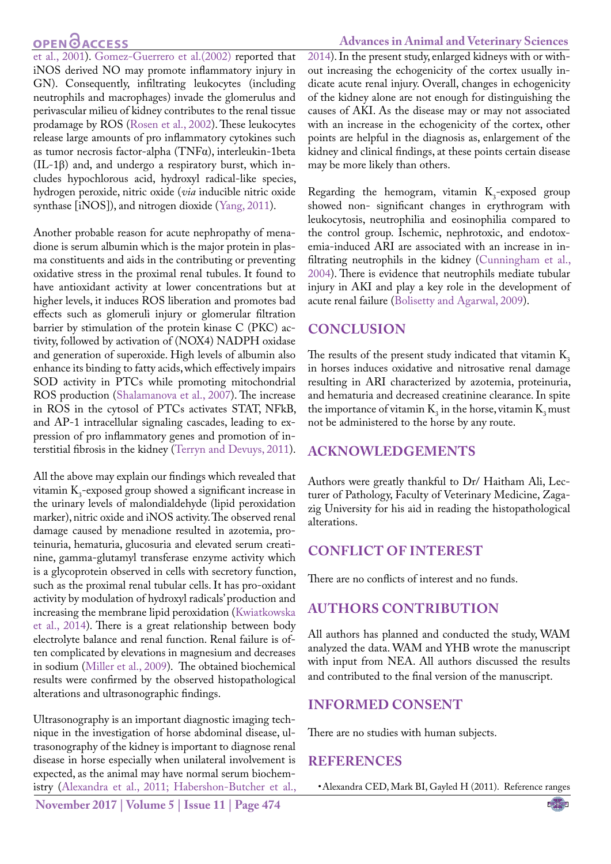#### **Advances in Animal and Veterinary Sciences**

[et al., 2001\)](#page-7-19). [Gomez-Guerrero et al.\(2002\)](#page-7-20) reported that iNOS derived NO may promote inflammatory injury in GN). Consequently, infiltrating leukocytes (including neutrophils and macrophages) invade the glomerulus and perivascular milieu of kidney contributes to the renal tissue prodamage by ROS ([Rosen et al., 2002\)](#page-7-21). These leukocytes release large amounts of pro inflammatory cytokines such as tumor necrosis factor-alpha (TNFα), interleukin-1beta (IL-1β) and, and undergo a respiratory burst, which includes hypochlorous acid, hydroxyl radical-like species, hydrogen peroxide, nitric oxide (*via* inducible nitric oxide synthase [iNOS]), and nitrogen dioxide ([Yang, 2011\)](#page-8-4).

Another probable reason for acute nephropathy of menadione is serum albumin which is the major protein in plasma constituents and aids in the contributing or preventing oxidative stress in the proximal renal tubules. It found to have antioxidant activity at lower concentrations but at higher levels, it induces ROS liberation and promotes bad effects such as glomeruli injury or glomerular filtration barrier by stimulation of the protein kinase C (PKC) activity, followed by activation of (NOX4) NADPH oxidase and generation of superoxide. High levels of albumin also enhance its binding to fatty acids, which effectively impairs SOD activity in PTCs while promoting mitochondrial ROS production (Shalamanova et al., 2007). The increase in ROS in the cytosol of PTCs activates STAT, NFkB, and AP-1 intracellular signaling cascades, leading to expression of pro inflammatory genes and promotion of interstitial fibrosis in the kidney (Terryn and Devuys, 2011).

All the above may explain our findings which revealed that vitamin  $K_3$ -exposed group showed a significant increase in the urinary levels of malondialdehyde (lipid peroxidation marker), nitric oxide and iNOS activity. The observed renal damage caused by menadione resulted in azotemia, proteinuria, hematuria, glucosuria and elevated serum creatinine, gamma-glutamyl transferase enzyme activity which is a glycoprotein observed in cells with secretory function, such as the proximal renal tubular cells. It has pro-oxidant activity by modulation of hydroxyl radicals' production and increasing the membrane lipid peroxidation (Kwiatkowska et al., 2014). There is a great relationship between body electrolyte balance and renal function. Renal failure is often complicated by elevations in magnesium and decreases in sodium (Miller et al., 2009). The obtained biochemical results were confirmed by the observed histopathological alterations and ultrasonographic findings.

Ultrasonography is an important diagnostic imaging technique in the investigation of horse abdominal disease, ultrasonography of the kidney is important to diagnose renal disease in horse especially when unilateral involvement is expected, as the animal may have normal serum biochemistry [\(Alexandra et al., 2011](#page-6-0); [Habershon-Butcher et al.,](#page-7-22)

[2014](#page-7-22)). In the present study, enlarged kidneys with or without increasing the echogenicity of the cortex usually indicate acute renal injury. Overall, changes in echogenicity of the kidney alone are not enough for distinguishing the causes of AKI. As the disease may or may not associated with an increase in the echogenicity of the cortex, other points are helpful in the diagnosis as, enlargement of the kidney and clinical findings, at these points certain disease may be more likely than others.

Regarding the hemogram, vitamin  $K_3$ -exposed group showed non- significant changes in erythrogram with leukocytosis, neutrophilia and eosinophilia compared to the control group. Ischemic, nephrotoxic, and endotoxemia-induced ARI are associated with an increase in infiltrating neutrophils in the kidney [\(Cunningham et al.,](#page-7-23)  [2004](#page-7-23)). There is evidence that neutrophils mediate tubular injury in AKI and play a key role in the development of acute renal failure (Bolisetty and Agarwal, 2009).

### **Conclusion**

The results of the present study indicated that vitamin  $K_3$ in horses induces oxidative and nitrosative renal damage resulting in ARI characterized by azotemia, proteinuria, and hematuria and decreased creatinine clearance. In spite the importance of vitamin  $K_3$  in the horse, vitamin  $K_3$  must not be administered to the horse by any route.

### **AcknowledgementS**

Authors were greatly thankful to Dr/ Haitham Ali, Lecturer of Pathology, Faculty of Veterinary Medicine, Zagazig University for his aid in reading the histopathological alterations.

## **Conflict of interest**

There are no conflicts of interest and no funds.

### **Authors Contribution**

All authors has planned and conducted the study, WAM analyzed the data. WAM and YHB wrote the manuscript with input from NEA. All authors discussed the results and contributed to the final version of the manuscript.

### **Informed consent**

There are no studies with human subjects.

#### **References**

<span id="page-6-0"></span>• Alexandra CED, Mark BI, Gayled H (2011). Reference ranges

**November 2017 | Volume 5 | Issue 11 | Page 474**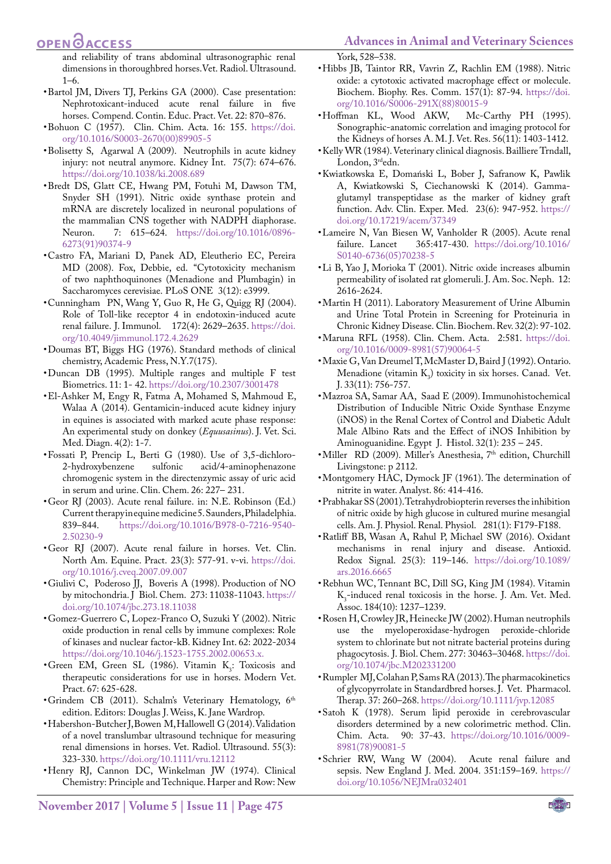## **OPEN**OACCESS

and reliability of trans abdominal ultrasonographic renal dimensions in thoroughbred horses.Vet. Radiol. Ultrasound. 1–6.

- Bartol JM, Divers TJ, Perkins GA (2000). Case presentation: Nephrotoxicant-induced acute renal failure in five horses. Compend. Contin. Educ. Pract. Vet. 22: 870–876.
- <span id="page-7-11"></span>• Bohuon C (1957). Clin. Chim. Acta. 16: 155. [https://doi.](https://doi.org/10.1016/S0003-2670(00)89905-5 ) [org/10.1016/S0003-2670\(00\)89905-5](https://doi.org/10.1016/S0003-2670(00)89905-5 )
- Bolisetty S, Agarwal A (2009). Neutrophils in acute kidney injury: not neutral anymore. Kidney Int. 75(7): 674–676. [https://doi.org/10.1038/ki.2008.689](https://doi.org/10.1038/ki.2008.689 )
- <span id="page-7-13"></span>• Bredt DS, Glatt CE, Hwang PM, Fotuhi M, Dawson TM, Snyder SH (1991). Nitric oxide synthase protein and mRNA are discretely localized in neuronal populations of the mammalian CNS together with NADPH diaphorase.<br>Neuron. 7: 615–624. https://doi.org/10.1016/08967: 615–624. [https://doi.org/10.1016/0896-](https://doi.org/10.1016/0896-6273(91)90374-9 ) [6273\(91\)90374-9](https://doi.org/10.1016/0896-6273(91)90374-9 )
- • Castro FA, Mariani D, Panek AD, Eleutherio EC, Pereira MD (2008). Fox, Debbie, ed. ["Cytotoxicity mechanism](http://www.plosone.org/article/info:doi/10.1371/journal.pone.0003999) [of two naphthoquinones \(Menadione and Plumbagin\) in](http://www.plosone.org/article/info:doi/10.1371/journal.pone.0003999) [Saccharomyces cerevisiae](http://www.plosone.org/article/info:doi/10.1371/journal.pone.0003999). PLoS ONE 3(12): e3999.
- <span id="page-7-23"></span>• Cunningham PN, Wang Y, Guo R, He G, Quigg RJ (2004). Role of Toll-like receptor 4 in endotoxin-induced acute renal failure. J. Immunol. 172(4): 2629–2635[. https://doi.]( https://doi.org/10.4049/jimmunol.172.4.2629 ) [org/10.4049/jimmunol.172.4.2629]( https://doi.org/10.4049/jimmunol.172.4.2629 )
- <span id="page-7-9"></span>• Doumas BT, Biggs HG (1976). Standard methods of clinical chemistry, Academic Press, N.Y.7(175).
- <span id="page-7-14"></span>• Duncan DB (1995). Multiple ranges and multiple F test Biometrics. 11: 1- 42[. https://doi.org/10.2307/3001478]( https://doi.org/10.2307/3001478 )
- <span id="page-7-15"></span>• El-Ashker M, Engy R, Fatma A, Mohamed S, Mahmoud E, Walaa A (2014). Gentamicin-induced acute kidney injury in equines is associated with marked acute phase response: An experimental study on donkey (*Equusasinus*). J. Vet. Sci. Med. Diagn. 4(2): 1-7.
- <span id="page-7-8"></span>• Fossati P, Prencip L, Berti G (1980). Use of 3,5-dichloro-<br>2-hydroxybenzene sulfonic acid/4-aminophenazone acid/4-aminophenazone chromogenic system in the directenzymic assay of uric acid in serum and urine. Clin. Chem. 26: 227– 231.
- • Geor RJ (2003). Acute renal failure. in: N.E. Robinson (Ed.) Current therapy in equine medicine 5. Saunders, Philadelphia. 839–844. [https://doi.org/10.1016/B978-0-7216-9540-](https://doi.org/10.1016/B978-0-7216-9540-2.50230-9 ) [2.50230-9](https://doi.org/10.1016/B978-0-7216-9540-2.50230-9 )
- • [Geor RJ](https://www.ncbi.nlm.nih.gov/pubmed/?term=Geor RJ%5BAuthor%5D&cauthor=true&cauthor_uid=18061851) (2007). Acute renal failure in horses. [Vet. Clin.](https://www.ncbi.nlm.nih.gov/pubmed/18061851) [North Am. Equine. Pract.](https://www.ncbi.nlm.nih.gov/pubmed/18061851) 23(3): 577-91. v-vi. [https://doi.](https://doi.org/10.1016/j.cveq.2007.09.007 ) [org/10.1016/j.cveq.2007.09.007](https://doi.org/10.1016/j.cveq.2007.09.007 )
- Giulivi C, Poderoso JJ, Boveris A (1998). Production of NO by mitochondria. J Biol. Chem. 273: 11038-11043[. https://]( https://doi.org/10.1074/jbc.273.18.11038 ) [doi.org/10.1074/jbc.273.18.11038]( https://doi.org/10.1074/jbc.273.18.11038 )
- <span id="page-7-20"></span>• Gomez-Guerrero C, Lopez-Franco O, Suzuki Y (2002). Nitric oxide production in renal cells by immune complexes: Role of kinases and nuclear factor-kB. Kidney Int. 62: 2022-2034 [https://doi.org/10.1046/j.1523-1755.2002.00653.x.](https://doi.org/10.1046/j.1523-1755.2002.00653.x. )
- <span id="page-7-16"></span>• Green EM, Green SL (1986). Vitamin  $K_3$ : Toxicosis and therapeutic considerations for use in horses. Modern Vet. Pract. 67: 625-628.
- Grindem CB (2011). Schalm's Veterinary Hematology, 6th edition. Editors: Douglas J. Weiss, K. Jane Wardrop.
- <span id="page-7-22"></span>• Habershon-Butcher J, Bowen M, Hallowell G (2014). Validation of a novel translumbar ultrasound technique for measuring renal dimensions in horses. Vet. Radiol. Ultrasound. 55(3): 323-330[. https://doi.org/10.1111/vru.12112]( https://doi.org/10.1111/vru.12112 )
- <span id="page-7-6"></span>• Henry RJ, Cannon DC, Winkelman JW (1974). Clinical Chemistry: Principle and Technique. Harper and Row: New

York, 528–538.

- • [Hibbs JB,](https://www.ncbi.nlm.nih.gov/pubmed/?term=Hibbs JB Jr%5BAuthor%5D&cauthor=true&cauthor_uid=3196352) [Taintor RR](https://www.ncbi.nlm.nih.gov/pubmed/?term=Taintor RR%5BAuthor%5D&cauthor=true&cauthor_uid=3196352), [Vavrin Z,](https://www.ncbi.nlm.nih.gov/pubmed/?term=Vavrin Z%5BAuthor%5D&cauthor=true&cauthor_uid=3196352) [Rachlin EM](https://www.ncbi.nlm.nih.gov/pubmed/?term=Rachlin EM%5BAuthor%5D&cauthor=true&cauthor_uid=3196352) (1988). Nitric oxide: a cytotoxic activated macrophage effect or molecule. Biochem. Biophy. Res. Comm. 157(1): 87-94. [https://doi.](https://doi.org/10.1016/S0006-291X(88)80015-9 )
- <span id="page-7-4"></span>[org/10.1016/S0006-291X\(88\)80015-9](https://doi.org/10.1016/S0006-291X(88)80015-9 )<br>ffman KL, Wood AKW, Mc-Carthy PH (1995). • Hoffman KL, Wood AKW, Sonographic-anatomic correlation and imaging protocol for the Kidneys of horses A. M. J. Vet. Res. 56(11): 1403-1412.
- <span id="page-7-3"></span>• Kelly WR (1984). Veterinary clinical diagnosis. Bailliere Trndall, London, 3<sup>rd</sup>edn.
- • [Kwiatkowska E,](https://www.ncbi.nlm.nih.gov/pubmed/?term=Kwiatkowska E%5BAuthor%5D&cauthor=true&cauthor_uid=25618122) [Domański L,](https://www.ncbi.nlm.nih.gov/pubmed/?term=Doma%C5%84ski%20L%5BAuthor%5D&cauthor=true&cauthor_uid=25618122) [Bober J,](https://www.ncbi.nlm.nih.gov/pubmed/?term=Bober J%5BAuthor%5D&cauthor=true&cauthor_uid=25618122) [Safranow K](https://www.ncbi.nlm.nih.gov/pubmed/?term=Safranow K%5BAuthor%5D&cauthor=true&cauthor_uid=25618122), [Pawlik](https://www.ncbi.nlm.nih.gov/pubmed/?term=Pawlik A%5BAuthor%5D&cauthor=true&cauthor_uid=25618122)  [A](https://www.ncbi.nlm.nih.gov/pubmed/?term=Pawlik A%5BAuthor%5D&cauthor=true&cauthor_uid=25618122), [Kwiatkowski S,](https://www.ncbi.nlm.nih.gov/pubmed/?term=Kwiatkowski S%5BAuthor%5D&cauthor=true&cauthor_uid=25618122) [Ciechanowski K](https://www.ncbi.nlm.nih.gov/pubmed/?term=Ciechanowski K%5BAuthor%5D&cauthor=true&cauthor_uid=25618122) (2014). Gammaglutamyl transpeptidase as the marker of kidney graft function. Adv. Clin. Exper. Med. 23(6): 947-952[. https://]( https://doi.org/10.17219/acem/37349 ) [doi.org/10.17219/acem/37349]( https://doi.org/10.17219/acem/37349 )
- <span id="page-7-0"></span>• Lameire N, Van Biesen W, Vanholder R (2005). Acute renal failure. Lancet 365:417-430. [https://doi.org/10.1016/](https://doi.org/10.1016/S0140-6736(05)70238-5 ) [S0140-6736\(05\)70238-5](https://doi.org/10.1016/S0140-6736(05)70238-5 )
- <span id="page-7-19"></span>• Li B, Yao J, Morioka T (2001). Nitric oxide increases albumin permeability of isolated rat glomeruli. J. Am. Soc. Neph. 12: 2616-2624.
- <span id="page-7-5"></span>• Martin H (2011). Laboratory Measurement of Urine Albumin and Urine Total Protein in Screening for Proteinuria in Chronic Kidney Disease. Clin. Biochem. Rev. 32(2): 97-102.
- <span id="page-7-10"></span>• Maruna RFL (1958). Clin. Chem. Acta. 2:581. [https://doi.](https://doi.org/10.1016/0009-8981(57)90064-5 ) [org/10.1016/0009-8981\(57\)90064-5](https://doi.org/10.1016/0009-8981(57)90064-5 )
- <span id="page-7-1"></span>• Maxie G, Van Dreumel T, McMaster D, Baird J (1992). Ontario. Menadione (vitamin  $K_3$ ) toxicity in six horses. Canad. Vet. J. 33(11): 756-757.
- <span id="page-7-2"></span>• Mazroa SA, Samar AA, Saad E (2009). Immunohistochemical Distribution of Inducible Nitric Oxide Synthase Enzyme (iNOS) in the Renal Cortex of Control and Diabetic Adult Male Albino Rats and the Effect of iNOS Inhibition by Aminoguanidine. Egypt J. Histol. 32(1): 235 – 245.
- Miller RD (2009). Miller's Anesthesia, 7<sup>th</sup> edition, Churchill Livingstone: p 2112.
- <span id="page-7-7"></span>• Montgomery HAC, Dymock JF (1961). The determination of nitrite in water. Analyst. 86: 414-416.
- <span id="page-7-18"></span>• Prabhakar SS (2001). Tetrahydrobiopterin reverses the inhibition of nitric oxide by high glucose in cultured murine mesangial cells. Am. J. Physiol. Renal. Physiol. 281(1): F179-F188.
- <span id="page-7-17"></span>• Ratliff [BB,](https://www.ncbi.nlm.nih.gov/pubmed/?term=Ratliff BB%5BAuthor%5D&cauthor=true&cauthor_uid=26906267) [Wasan A,](https://www.ncbi.nlm.nih.gov/pubmed/?term=Abdulmahdi W%5BAuthor%5D&cauthor=true&cauthor_uid=26906267) Rahul P, [Michael SW \(2016\)](https://www.ncbi.nlm.nih.gov/pubmed/?term=Wolin MS%5BAuthor%5D&cauthor=true&cauthor_uid=26906267). Oxidant mechanisms in renal injury and disease. Antioxid. Redox Signal. 25(3): 119–146. [https://doi.org/10.1089/](https://doi.org/10.1089/ars.2016.6665 ) [ars.2016.6665](https://doi.org/10.1089/ars.2016.6665 )
- • Rebhun WC, Tennant BC, Dill SG, King JM (1984). Vitamin  $K_3$ -induced renal toxicosis in the horse. J. Am. Vet. Med. Assoc. 184(10): 1237–1239.
- <span id="page-7-21"></span>• Rosen H, Crowley JR, Heinecke JW (2002). Human neutrophils use the myeloperoxidase-hydrogen peroxide-chloride system to chlorinate but not nitrate bacterial proteins during phagocytosis. J. Biol. Chem. 277: 30463–30468. [https://doi.](https://doi.org/10.1074/jbc.M202331200 ) [org/10.1074/jbc.M202331200](https://doi.org/10.1074/jbc.M202331200 )
- <span id="page-7-12"></span>• Rumpler MJ, Colahan P, Sams RA (2013). The pharmacokinetics of glycopyrrolate in Standardbred horses. J. Vet. Pharmacol. Therap. 37: 260–268. [https://doi.org/10.1111/jvp.12085](https://doi.org/10.1111/jvp.12085 )
- • Satoh K (1978). Serum lipid peroxide in cerebrovascular disorders determined by a new colorimetric method. Clin. Chim. Acta. 90: 37-43. [https://doi.org/10.1016/0009-](https://doi.org/10.1016/0009-8981(78)90081-5 ) [8981\(78\)90081-5](https://doi.org/10.1016/0009-8981(78)90081-5 )
- • Schrier RW, Wang W (2004). Acute renal failure and sepsis. New England J. Med. 2004. 351:159–169. [https://](https://doi.org/10.1056/NEJMra032401 ) [doi.org/10.1056/NEJMra032401](https://doi.org/10.1056/NEJMra032401 )

NE**X**US